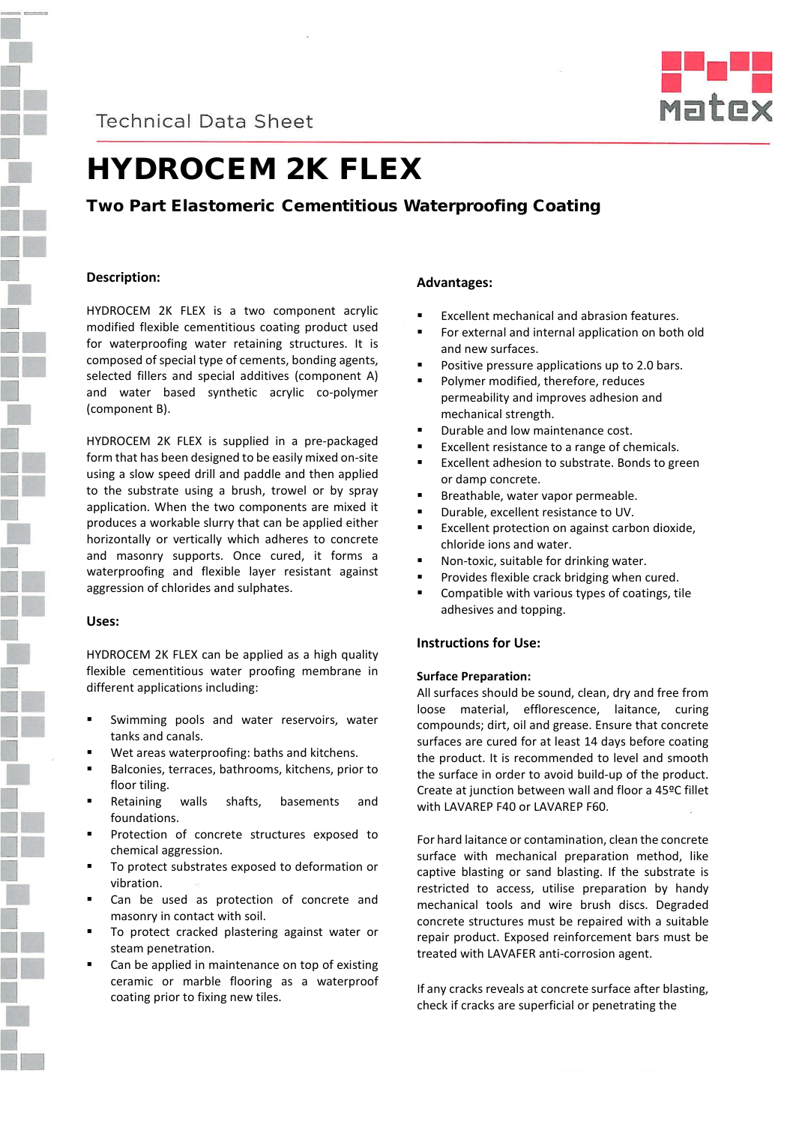**Technical Data Sheet** 



# HYDROCEM 2K FLEX

# Two Part Elastomeric Cementitious Waterproofing Coating

## **Description:**

HYDROCEM 2K FLEX is a two component acrylic modified flexible cementitious coating product used for waterproofing water retaining structures. It is composed of special type of cements, bonding agents, selected fillers and special additives (component A) and water based synthetic acrylic co-polymer (component B).

HYDROCEM 2K FLEX is supplied in a pre-packaged form that has been designed to be easily mixed on-site using a slow speed drill and paddle and then applied to the substrate using a brush, trowel or by spray application. When the two components are mixed it produces a workable slurry that can be applied either horizontally or vertically which adheres to concrete and masonry supports. Once cured, it forms a waterproofing and flexible layer resistant against aggression of chlorides and sulphates.

### **Uses:**

HYDROCEM 2K FLEX can be applied as a high quality flexible cementitious water proofing membrane in different applications including:

- Swimming pools and water reservoirs, water tanks and canals.
- Wet areas waterproofing: baths and kitchens.
- Balconies, terraces, bathrooms, kitchens, prior to floor tiling.
- Retaining walls shafts, basements and foundations.
- Protection of concrete structures exposed to chemical aggression.
- To protect substrates exposed to deformation or vibration.
- Can be used as protection of concrete and masonry in contact with soil.
- To protect cracked plastering against water or steam penetration.
- Can be applied in maintenance on top of existing ceramic or marble flooring as a waterproof coating prior to fixing new tiles.

### **Advantages:**

- Excellent mechanical and abrasion features.
- For external and internal application on both old and new surfaces.
- Positive pressure applications up to 2.0 bars.
- Polymer modified, therefore, reduces permeability and improves adhesion and mechanical strength.
- **•** Durable and low maintenance cost.
- Excellent resistance to a range of chemicals.
- Excellent adhesion to substrate. Bonds to green or damp concrete.
- Breathable, water vapor permeable.
- Durable, excellent resistance to UV.
- **Excellent protection on against carbon dioxide,** chloride ions and water.
- Non-toxic, suitable for drinking water.
- **Provides flexible crack bridging when cured.**
- Compatible with various types of coatings, tile adhesives and topping.

## **Instructions for Use:**

#### **Surface Preparation:**

All surfaces should be sound, clean, dry and free from loose material, efflorescence, laitance, curing compounds; dirt, oil and grease. Ensure that concrete surfaces are cured for at least 14 days before coating the product. It is recommended to level and smooth the surface in order to avoid build-up of the product. Create at junction between wall and floor a 45ºC fillet with LAVAREP F40 or LAVAREP F60.

For hard laitance or contamination, clean the concrete surface with mechanical preparation method, like captive blasting or sand blasting. If the substrate is restricted to access, utilise preparation by handy mechanical tools and wire brush discs. Degraded concrete structures must be repaired with a suitable repair product. Exposed reinforcement bars must be treated with LAVAFER anti-corrosion agent.

If any cracks reveals at concrete surface after blasting, check if cracks are superficial or penetrating the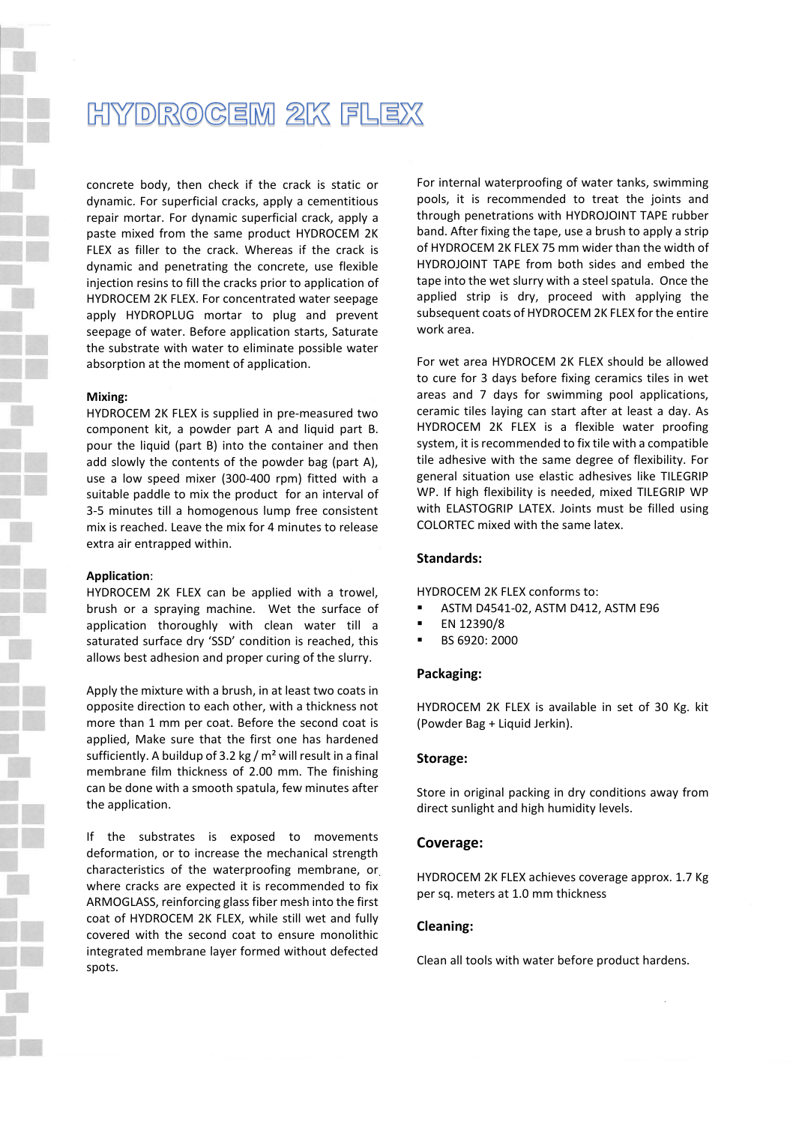# HYDROGEM 2K FLEX

concrete body, then check if the crack is static or dynamic. For superficial cracks, apply a cementitious repair mortar. For dynamic superficial crack, apply a paste mixed from the same product HYDROCEM 2K FLEX as filler to the crack. Whereas if the crack is dynamic and penetrating the concrete, use flexible injection resins to fill the cracks prior to application of HYDROCEM 2K FLEX. For concentrated water seepage apply HYDROPLUG mortar to plug and prevent seepage of water. Before application starts, Saturate the substrate with water to eliminate possible water absorption at the moment of application.

#### **Mixing:**

HYDROCEM 2K FLEX is supplied in pre-measured two component kit, a powder part A and liquid part B. pour the liquid (part B) into the container and then add slowly the contents of the powder bag (part A), use a low speed mixer (300-400 rpm) fitted with a suitable paddle to mix the product for an interval of 3-5 minutes till a homogenous lump free consistent mix is reached. Leave the mix for 4 minutes to release extra air entrapped within.

#### **Application**:

HYDROCEM 2K FLEX can be applied with a trowel, brush or a spraying machine. Wet the surface of application thoroughly with clean water till a saturated surface dry 'SSD' condition is reached, this allows best adhesion and proper curing of the slurry.

Apply the mixture with a brush, in at least two coats in opposite direction to each other, with a thickness not more than 1 mm per coat. Before the second coat is applied, Make sure that the first one has hardened sufficiently. A buildup of 3.2 kg /  $m<sup>2</sup>$  will result in a final membrane film thickness of 2.00 mm. The finishing can be done with a smooth spatula, few minutes after the application.

If the substrates is exposed to movements deformation, or to increase the mechanical strength characteristics of the waterproofing membrane, or where cracks are expected it is recommended to fix ARMOGLASS, reinforcing glass fiber mesh into the first coat of HYDROCEM 2K FLEX, while still wet and fully covered with the second coat to ensure monolithic integrated membrane layer formed without defected spots.

For internal waterproofing of water tanks, swimming pools, it is recommended to treat the joints and through penetrations with HYDROJOINT TAPE rubber band. After fixing the tape, use a brush to apply a strip of HYDROCEM 2K FLEX 75 mm wider than the width of HYDROJOINT TAPE from both sides and embed the tape into the wet slurry with a steel spatula. Once the applied strip is dry, proceed with applying the subsequent coats of HYDROCEM 2K FLEX for the entire work area.

For wet area HYDROCEM 2K FLEX should be allowed to cure for 3 days before fixing ceramics tiles in wet areas and 7 days for swimming pool applications, ceramic tiles laying can start after at least a day. As HYDROCEM 2K FLEX is a flexible water proofing system, it is recommended to fix tile with a compatible tile adhesive with the same degree of flexibility. For general situation use elastic adhesives like TILEGRIP WP. If high flexibility is needed, mixed TILEGRIP WP with ELASTOGRIP LATEX. Joints must be filled using COLORTEC mixed with the same latex.

#### **Standards:**

HYDROCEM 2K FLEX conforms to:

- ASTM D4541-02, ASTM D412, ASTM E96
- EN 12390/8
- BS 6920: 2000

#### **Packaging:**

HYDROCEM 2K FLEX is available in set of 30 Kg. kit (Powder Bag + Liquid Jerkin).

#### **Storage:**

Store in original packing in dry conditions away from direct sunlight and high humidity levels.

#### **Coverage:**

HYDROCEM 2K FLEX achieves coverage approx. 1.7 Kg per sq. meters at 1.0 mm thickness

#### **Cleaning:**

Clean all tools with water before product hardens.